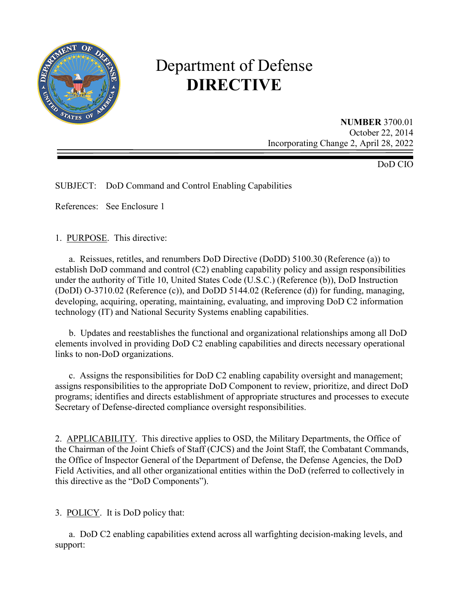

# Department of Defense **DIRECTIVE**

**NUMBER** 3700.01 October 22, 2014 Incorporating Change 2, April 28, 2022

DoD CIO

SUBJECT: DoD Command and Control Enabling Capabilities

References: See Enclosure 1

1. PURPOSE. This directive:

a. Reissues, retitles, and renumbers DoD Directive (DoDD) 5100.30 (Reference (a)) to establish DoD command and control (C2) enabling capability policy and assign responsibilities under the authority of Title 10, United States Code (U.S.C.) (Reference (b)), DoD Instruction (DoDI) O-3710.02 (Reference (c)), and DoDD 5144.02 (Reference (d)) for funding, managing, developing, acquiring, operating, maintaining, evaluating, and improving DoD C2 information technology (IT) and National Security Systems enabling capabilities.

 b. Updates and reestablishes the functional and organizational relationships among all DoD elements involved in providing DoD C2 enabling capabilities and directs necessary operational links to non-DoD organizations.

c. Assigns the responsibilities for DoD C2 enabling capability oversight and management; assigns responsibilities to the appropriate DoD Component to review, prioritize, and direct DoD programs; identifies and directs establishment of appropriate structures and processes to execute Secretary of Defense-directed compliance oversight responsibilities.

2. APPLICABILITY. This directive applies to OSD, the Military Departments, the Office of the Chairman of the Joint Chiefs of Staff (CJCS) and the Joint Staff, the Combatant Commands, the Office of Inspector General of the Department of Defense, the Defense Agencies, the DoD Field Activities, and all other organizational entities within the DoD (referred to collectively in this directive as the "DoD Components").

3. POLICY. It is DoD policy that:

a. DoD C2 enabling capabilities extend across all warfighting decision-making levels, and support: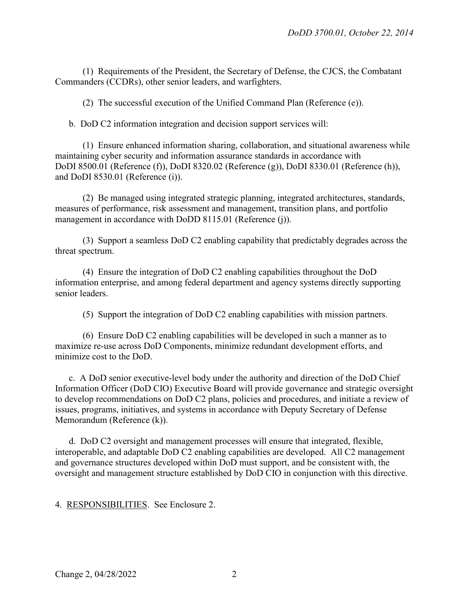(1) Requirements of the President, the Secretary of Defense, the CJCS, the Combatant Commanders (CCDRs), other senior leaders, and warfighters.

(2) The successful execution of the Unified Command Plan (Reference (e)).

b. DoD C2 information integration and decision support services will:

 (1) Ensure enhanced information sharing, collaboration, and situational awareness while maintaining cyber security and information assurance standards in accordance with DoDI 8500.01 (Reference (f)), DoDI 8320.02 (Reference (g)), DoDI 8330.01 (Reference (h)), and DoDI 8530.01 (Reference (i)).

 (2) Be managed using integrated strategic planning, integrated architectures, standards, measures of performance, risk assessment and management, transition plans, and portfolio management in accordance with DoDD 8115.01 (Reference (j)).

 (3) Support a seamless DoD C2 enabling capability that predictably degrades across the threat spectrum.

 (4) Ensure the integration of DoD C2 enabling capabilities throughout the DoD information enterprise, and among federal department and agency systems directly supporting senior leaders.

(5) Support the integration of DoD C2 enabling capabilities with mission partners.

 (6) Ensure DoD C2 enabling capabilities will be developed in such a manner as to maximize re-use across DoD Components, minimize redundant development efforts, and minimize cost to the DoD.

c. A DoD senior executive-level body under the authority and direction of the DoD Chief Information Officer (DoD CIO) Executive Board will provide governance and strategic oversight to develop recommendations on DoD C2 plans, policies and procedures, and initiate a review of issues, programs, initiatives, and systems in accordance with Deputy Secretary of Defense Memorandum (Reference (k)).

 d. DoD C2 oversight and management processes will ensure that integrated, flexible, interoperable, and adaptable DoD C2 enabling capabilities are developed. All C2 management and governance structures developed within DoD must support, and be consistent with, the oversight and management structure established by DoD CIO in conjunction with this directive.

4. RESPONSIBILITIES. See Enclosure 2.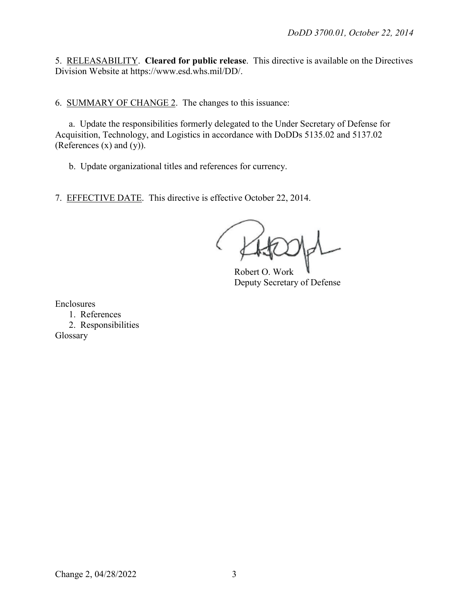5. RELEASABILITY. **Cleared for public release**. This directive is available on the Directives Division Website at https://www.esd.whs.mil/DD/.

6. SUMMARY OF CHANGE 2. The changes to this issuance:

a. Update the responsibilities formerly delegated to the Under Secretary of Defense for Acquisition, Technology, and Logistics in accordance with DoDDs 5135.02 and 5137.02 (References (x) and (y)).

b. Update organizational titles and references for currency.

7. EFFECTIVE DATE. This directive is effective October 22, 2014.

Robert O. Work Deputy Secretary of Defense

Enclosures

1. References 2. Responsibilities Glossary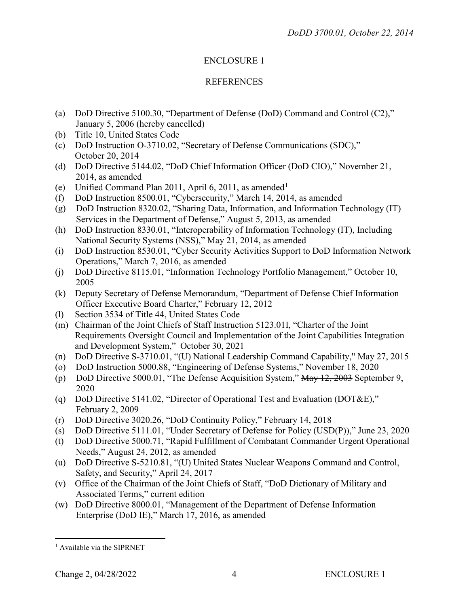# ENCLOSURE 1

# REFERENCES

- (a) DoD Directive 5100.30, "Department of Defense (DoD) Command and Control (C2)," January 5, 2006 (hereby cancelled)
- (b) Title 10, United States Code
- (c) DoD Instruction O-3710.02, "Secretary of Defense Communications (SDC)," October 20, 2014
- (d) DoD Directive 5144.02, "DoD Chief Information Officer (DoD CIO)," November 21, 2014, as amended
- (e) Unified Command Plan 20[1](#page-3-0)1, April 6, 2011, as amended<sup>1</sup>
- (f) DoD Instruction 8500.01, "Cybersecurity," March 14, 2014, as amended
- (g) DoD Instruction 8320.02, "Sharing Data, Information, and Information Technology (IT) Services in the Department of Defense," August 5, 2013, as amended
- (h) DoD Instruction 8330.01, "Interoperability of Information Technology (IT), Including National Security Systems (NSS)," May 21, 2014, as amended
- (i) DoD Instruction 8530.01, "Cyber Security Activities Support to DoD Information Network Operations," March 7, 2016, as amended
- (j) DoD Directive 8115.01, "Information Technology Portfolio Management," October 10, 2005
- (k) Deputy Secretary of Defense Memorandum, "Department of Defense Chief Information Officer Executive Board Charter," February 12, 2012
- (l) Section 3534 of Title 44, United States Code
- (m) Chairman of the Joint Chiefs of Staff Instruction 5123.01I, "Charter of the Joint Requirements Oversight Council and Implementation of the Joint Capabilities Integration and Development System," October 30, 2021
- (n) DoD Directive S-3710.01, "(U) National Leadership Command Capability," May 27, 2015
- (o) DoD Instruction 5000.88, "Engineering of Defense Systems," November 18, 2020
- (p) DoD Directive 5000.01, "The Defense Acquisition System," May 12, 2003 September 9, 2020
- (q) DoD Directive 5141.02, "Director of Operational Test and Evaluation (DOT&E)," February 2, 2009
- (r) DoD Directive 3020.26, "DoD Continuity Policy," February 14, 2018
- (s) DoD Directive 5111.01, "Under Secretary of Defense for Policy (USD(P))," June 23, 2020
- (t) DoD Directive 5000.71, "Rapid Fulfillment of Combatant Commander Urgent Operational Needs," August 24, 2012, as amended
- (u) DoD Directive S-5210.81, "(U) United States Nuclear Weapons Command and Control, Safety, and Security," April 24, 2017
- (v) Office of the Chairman of the Joint Chiefs of Staff, "DoD Dictionary of Military and Associated Terms," current edition
- (w) DoD Directive 8000.01, "Management of the Department of Defense Information Enterprise (DoD IE)," March 17, 2016, as amended

<span id="page-3-0"></span> $\overline{a}$  $<sup>1</sup>$  Available via the SIPRNET</sup>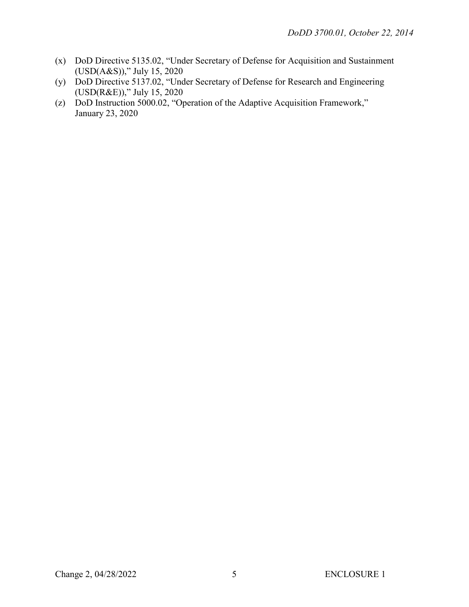- (x) DoD Directive 5135.02, "Under Secretary of Defense for Acquisition and Sustainment (USD(A&S))," July 15, 2020
- (y) DoD Directive 5137.02, "Under Secretary of Defense for Research and Engineering (USD(R&E))," July 15, 2020
- (z) DoD Instruction 5000.02, "Operation of the Adaptive Acquisition Framework," January 23, 2020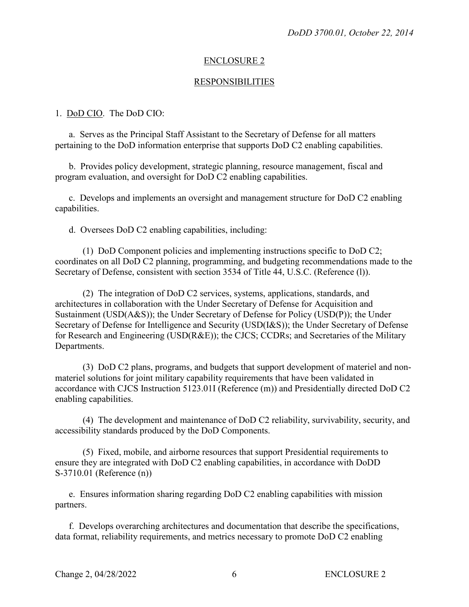#### ENCLOSURE 2

#### RESPONSIBILITIES

#### 1. DoD CIO. The DoD CIO:

a. Serves as the Principal Staff Assistant to the Secretary of Defense for all matters pertaining to the DoD information enterprise that supports DoD C2 enabling capabilities.

 b. Provides policy development, strategic planning, resource management, fiscal and program evaluation, and oversight for DoD C2 enabling capabilities.

c. Develops and implements an oversight and management structure for DoD C2 enabling capabilities.

d. Oversees DoD C2 enabling capabilities, including:

 (1) DoD Component policies and implementing instructions specific to DoD C2; coordinates on all DoD C2 planning, programming, and budgeting recommendations made to the Secretary of Defense, consistent with section 3534 of Title 44, U.S.C. (Reference (1)).

 (2) The integration of DoD C2 services, systems, applications, standards, and architectures in collaboration with the Under Secretary of Defense for Acquisition and Sustainment (USD(A&S)); the Under Secretary of Defense for Policy (USD(P)); the Under Secretary of Defense for Intelligence and Security (USD(I&S)); the Under Secretary of Defense for Research and Engineering (USD(R&E)); the CJCS; CCDRs; and Secretaries of the Military Departments.

 (3) DoD C2 plans, programs, and budgets that support development of materiel and nonmateriel solutions for joint military capability requirements that have been validated in accordance with CJCS Instruction 5123.01I (Reference (m)) and Presidentially directed DoD C2 enabling capabilities.

 (4) The development and maintenance of DoD C2 reliability, survivability, security, and accessibility standards produced by the DoD Components.

 (5) Fixed, mobile, and airborne resources that support Presidential requirements to ensure they are integrated with DoD C2 enabling capabilities, in accordance with DoDD S-3710.01 (Reference (n))

 e. Ensures information sharing regarding DoD C2 enabling capabilities with mission partners.

 f. Develops overarching architectures and documentation that describe the specifications, data format, reliability requirements, and metrics necessary to promote DoD C2 enabling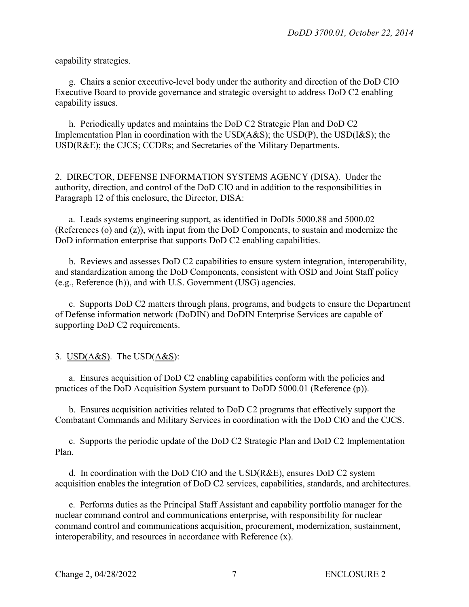capability strategies.

g. Chairs a senior executive-level body under the authority and direction of the DoD CIO Executive Board to provide governance and strategic oversight to address DoD C2 enabling capability issues.

 h. Periodically updates and maintains the DoD C2 Strategic Plan and DoD C2 Implementation Plan in coordination with the USD(A&S); the USD(P), the USD(I&S); the USD(R&E); the CJCS; CCDRs; and Secretaries of the Military Departments.

2. DIRECTOR, DEFENSE INFORMATION SYSTEMS AGENCY (DISA). Under the authority, direction, and control of the DoD CIO and in addition to the responsibilities in Paragraph 12 of this enclosure, the Director, DISA:

a. Leads systems engineering support, as identified in DoDIs 5000.88 and 5000.02 (References (o) and (z)), with input from the DoD Components, to sustain and modernize the DoD information enterprise that supports DoD C2 enabling capabilities.

 b. Reviews and assesses DoD C2 capabilities to ensure system integration, interoperability, and standardization among the DoD Components, consistent with OSD and Joint Staff policy (e.g., Reference (h)), and with U.S. Government (USG) agencies.

 c. Supports DoD C2 matters through plans, programs, and budgets to ensure the Department of Defense information network (DoDIN) and DoDIN Enterprise Services are capable of supporting DoD C2 requirements.

### 3. USD $(A&S)$ . The USD $(A&S)$ :

 a. Ensures acquisition of DoD C2 enabling capabilities conform with the policies and practices of the DoD Acquisition System pursuant to DoDD 5000.01 (Reference (p)).

b. Ensures acquisition activities related to DoD C2 programs that effectively support the Combatant Commands and Military Services in coordination with the DoD CIO and the CJCS.

 c. Supports the periodic update of the DoD C2 Strategic Plan and DoD C2 Implementation Plan.

 d. In coordination with the DoD CIO and the USD(R&E), ensures DoD C2 system acquisition enables the integration of DoD C2 services, capabilities, standards, and architectures.

e. Performs duties as the Principal Staff Assistant and capability portfolio manager for the nuclear command control and communications enterprise, with responsibility for nuclear command control and communications acquisition, procurement, modernization, sustainment, interoperability, and resources in accordance with Reference (x).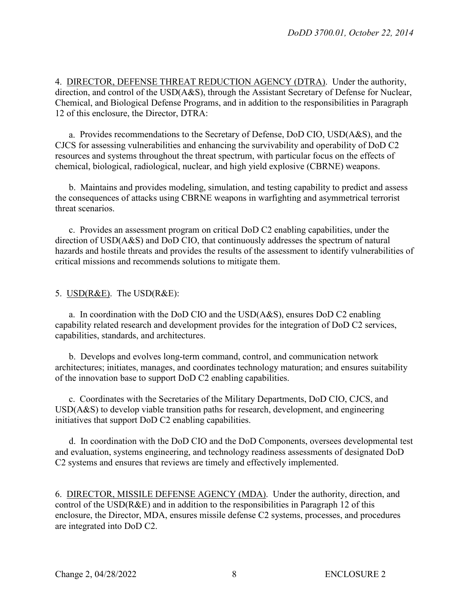4. DIRECTOR, DEFENSE THREAT REDUCTION AGENCY (DTRA). Under the authority, direction, and control of the USD(A&S), through the Assistant Secretary of Defense for Nuclear, Chemical, and Biological Defense Programs, and in addition to the responsibilities in Paragraph 12 of this enclosure, the Director, DTRA:

a. Provides recommendations to the Secretary of Defense, DoD CIO, USD(A&S), and the CJCS for assessing vulnerabilities and enhancing the survivability and operability of DoD C2 resources and systems throughout the threat spectrum, with particular focus on the effects of chemical, biological, radiological, nuclear, and high yield explosive (CBRNE) weapons.

 b. Maintains and provides modeling, simulation, and testing capability to predict and assess the consequences of attacks using CBRNE weapons in warfighting and asymmetrical terrorist threat scenarios.

c. Provides an assessment program on critical DoD C2 enabling capabilities, under the direction of USD(A&S) and DoD CIO, that continuously addresses the spectrum of natural hazards and hostile threats and provides the results of the assessment to identify vulnerabilities of critical missions and recommends solutions to mitigate them.

#### 5. USD(R&E). The USD(R&E):

a. In coordination with the DoD CIO and the USD(A&S), ensures DoD C2 enabling capability related research and development provides for the integration of DoD C2 services, capabilities, standards, and architectures.

 b. Develops and evolves long-term command, control, and communication network architectures; initiates, manages, and coordinates technology maturation; and ensures suitability of the innovation base to support DoD C2 enabling capabilities.

c. Coordinates with the Secretaries of the Military Departments, DoD CIO, CJCS, and USD(A&S) to develop viable transition paths for research, development, and engineering initiatives that support DoD C2 enabling capabilities.

d. In coordination with the DoD CIO and the DoD Components, oversees developmental test and evaluation, systems engineering, and technology readiness assessments of designated DoD C2 systems and ensures that reviews are timely and effectively implemented.

6. DIRECTOR, MISSILE DEFENSE AGENCY (MDA). Under the authority, direction, and control of the USD(R&E) and in addition to the responsibilities in Paragraph 12 of this enclosure, the Director, MDA, ensures missile defense C2 systems, processes, and procedures are integrated into DoD C2.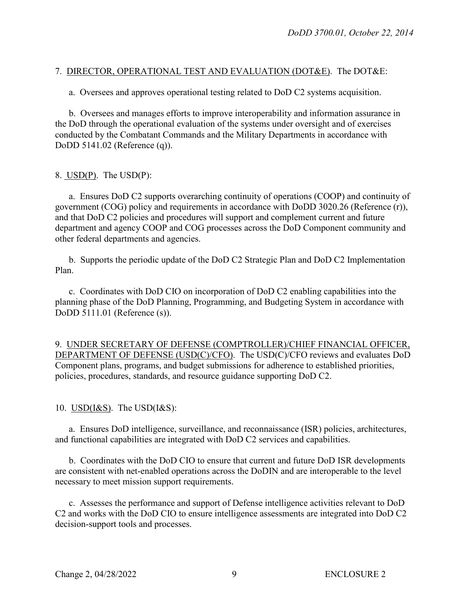## 7. DIRECTOR, OPERATIONAL TEST AND EVALUATION (DOT&E). The DOT&E:

a. Oversees and approves operational testing related to DoD C2 systems acquisition.

 b. Oversees and manages efforts to improve interoperability and information assurance in the DoD through the operational evaluation of the systems under oversight and of exercises conducted by the Combatant Commands and the Military Departments in accordance with DoDD 5141.02 (Reference (q)).

#### 8.  $USD(P)$ . The  $USD(P)$ :

a. Ensures DoD C2 supports overarching continuity of operations (COOP) and continuity of government (COG) policy and requirements in accordance with DoDD 3020.26 (Reference (r)), and that DoD C2 policies and procedures will support and complement current and future department and agency COOP and COG processes across the DoD Component community and other federal departments and agencies.

 b. Supports the periodic update of the DoD C2 Strategic Plan and DoD C2 Implementation Plan.

c. Coordinates with DoD CIO on incorporation of DoD C2 enabling capabilities into the planning phase of the DoD Planning, Programming, and Budgeting System in accordance with DoDD 5111.01 (Reference (s)).

9. UNDER SECRETARY OF DEFENSE (COMPTROLLER)/CHIEF FINANCIAL OFFICER, DEPARTMENT OF DEFENSE (USD(C)/CFO). The USD(C)/CFO reviews and evaluates DoD Component plans, programs, and budget submissions for adherence to established priorities, policies, procedures, standards, and resource guidance supporting DoD C2.

10.  $\overline{USD(1\&S)}$ . The  $\overline{USD(1\&S)}$ :

 a. Ensures DoD intelligence, surveillance, and reconnaissance (ISR) policies, architectures, and functional capabilities are integrated with DoD C2 services and capabilities.

 b. Coordinates with the DoD CIO to ensure that current and future DoD ISR developments are consistent with net-enabled operations across the DoDIN and are interoperable to the level necessary to meet mission support requirements.

c. Assesses the performance and support of Defense intelligence activities relevant to DoD C2 and works with the DoD CIO to ensure intelligence assessments are integrated into DoD C2 decision-support tools and processes.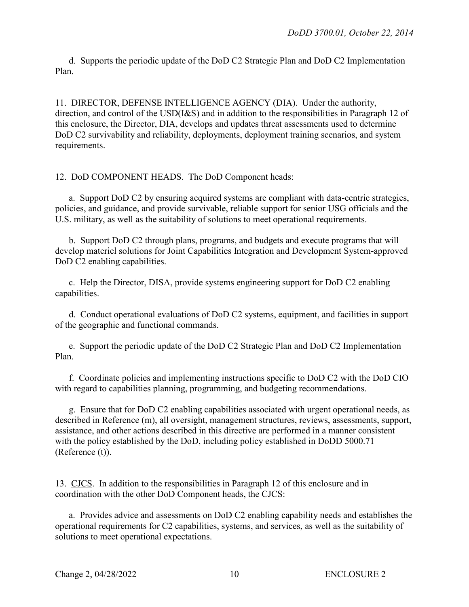d. Supports the periodic update of the DoD C2 Strategic Plan and DoD C2 Implementation Plan.

11. DIRECTOR, DEFENSE INTELLIGENCE AGENCY (DIA). Under the authority, direction, and control of the USD(I&S) and in addition to the responsibilities in Paragraph 12 of this enclosure, the Director, DIA, develops and updates threat assessments used to determine DoD C2 survivability and reliability, deployments, deployment training scenarios, and system requirements.

# 12. DoD COMPONENT HEADS. The DoD Component heads:

 a. Support DoD C2 by ensuring acquired systems are compliant with data-centric strategies, policies, and guidance, and provide survivable, reliable support for senior USG officials and the U.S. military, as well as the suitability of solutions to meet operational requirements.

b. Support DoD C2 through plans, programs, and budgets and execute programs that will develop materiel solutions for Joint Capabilities Integration and Development System-approved DoD C2 enabling capabilities.

 c. Help the Director, DISA, provide systems engineering support for DoD C2 enabling capabilities.

 d. Conduct operational evaluations of DoD C2 systems, equipment, and facilities in support of the geographic and functional commands.

 e. Support the periodic update of the DoD C2 Strategic Plan and DoD C2 Implementation Plan.

 f. Coordinate policies and implementing instructions specific to DoD C2 with the DoD CIO with regard to capabilities planning, programming, and budgeting recommendations.

g. Ensure that for DoD C2 enabling capabilities associated with urgent operational needs, as described in Reference (m), all oversight, management structures, reviews, assessments, support, assistance, and other actions described in this directive are performed in a manner consistent with the policy established by the DoD, including policy established in DoDD 5000.71 (Reference (t)).

13. CJCS. In addition to the responsibilities in Paragraph 12 of this enclosure and in coordination with the other DoD Component heads, the CJCS:

a. Provides advice and assessments on DoD C2 enabling capability needs and establishes the operational requirements for C2 capabilities, systems, and services, as well as the suitability of solutions to meet operational expectations.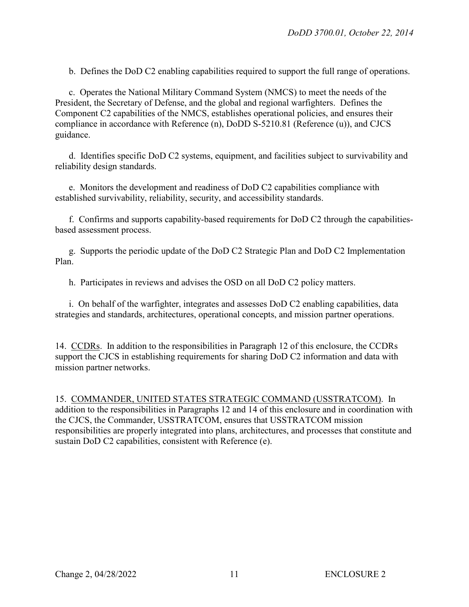b. Defines the DoD C2 enabling capabilities required to support the full range of operations.

c. Operates the National Military Command System (NMCS) to meet the needs of the President, the Secretary of Defense, and the global and regional warfighters. Defines the Component C2 capabilities of the NMCS, establishes operational policies, and ensures their compliance in accordance with Reference (n), DoDD S-5210.81 (Reference (u)), and CJCS guidance.

 d. Identifies specific DoD C2 systems, equipment, and facilities subject to survivability and reliability design standards.

 e. Monitors the development and readiness of DoD C2 capabilities compliance with established survivability, reliability, security, and accessibility standards.

 f. Confirms and supports capability-based requirements for DoD C2 through the capabilitiesbased assessment process.

 g. Supports the periodic update of the DoD C2 Strategic Plan and DoD C2 Implementation Plan.

h. Participates in reviews and advises the OSD on all DoD C2 policy matters.

i. On behalf of the warfighter, integrates and assesses DoD C2 enabling capabilities, data strategies and standards, architectures, operational concepts, and mission partner operations.

14. CCDRs. In addition to the responsibilities in Paragraph 12 of this enclosure, the CCDRs support the CJCS in establishing requirements for sharing DoD C2 information and data with mission partner networks.

15. COMMANDER, UNITED STATES STRATEGIC COMMAND (USSTRATCOM). In addition to the responsibilities in Paragraphs 12 and 14 of this enclosure and in coordination with the CJCS, the Commander, USSTRATCOM, ensures that USSTRATCOM mission responsibilities are properly integrated into plans, architectures, and processes that constitute and sustain DoD C2 capabilities, consistent with Reference (e).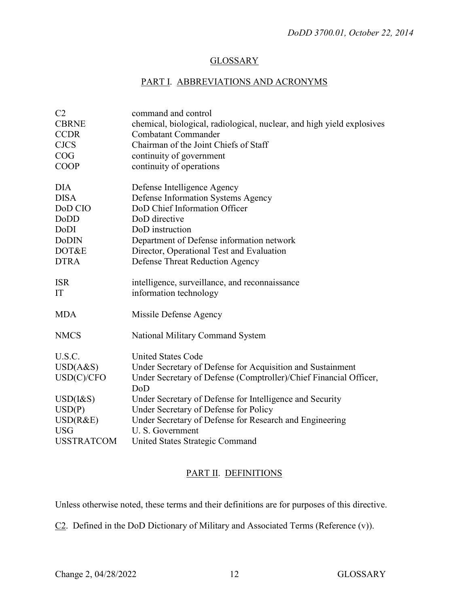#### **GLOSSARY**

# PART I. ABBREVIATIONS AND ACRONYMS

| C <sub>2</sub>    | command and control                                                      |
|-------------------|--------------------------------------------------------------------------|
| <b>CBRNE</b>      | chemical, biological, radiological, nuclear, and high yield explosives   |
| <b>CCDR</b>       | <b>Combatant Commander</b>                                               |
| <b>CJCS</b>       | Chairman of the Joint Chiefs of Staff                                    |
| COG               | continuity of government                                                 |
| <b>COOP</b>       | continuity of operations                                                 |
| <b>DIA</b>        | Defense Intelligence Agency                                              |
| <b>DISA</b>       | Defense Information Systems Agency                                       |
| DoD CIO           | DoD Chief Information Officer                                            |
| DoDD              | DoD directive                                                            |
| DoDI              | DoD instruction                                                          |
| <b>DoDIN</b>      | Department of Defense information network                                |
| DOT&E             | Director, Operational Test and Evaluation                                |
| <b>DTRA</b>       | Defense Threat Reduction Agency                                          |
| <b>ISR</b>        | intelligence, surveillance, and reconnaissance                           |
| IT                | information technology                                                   |
| <b>MDA</b>        | Missile Defense Agency                                                   |
| <b>NMCS</b>       | National Military Command System                                         |
| U.S.C.            | <b>United States Code</b>                                                |
| USD(A&S)          | Under Secretary of Defense for Acquisition and Sustainment               |
| USD(C)/CFO        | Under Secretary of Defense (Comptroller)/Chief Financial Officer,<br>DoD |
| $USD(I\&S)$       | Under Secretary of Defense for Intelligence and Security                 |
| USD(P)            | Under Secretary of Defense for Policy                                    |
| USD(R&E)          | Under Secretary of Defense for Research and Engineering                  |
| <b>USG</b>        | U. S. Government                                                         |
| <b>USSTRATCOM</b> | United States Strategic Command                                          |

# PART II. DEFINITIONS

Unless otherwise noted, these terms and their definitions are for purposes of this directive.

 $C2$ . Defined in the DoD Dictionary of Military and Associated Terms (Reference  $(v)$ ).